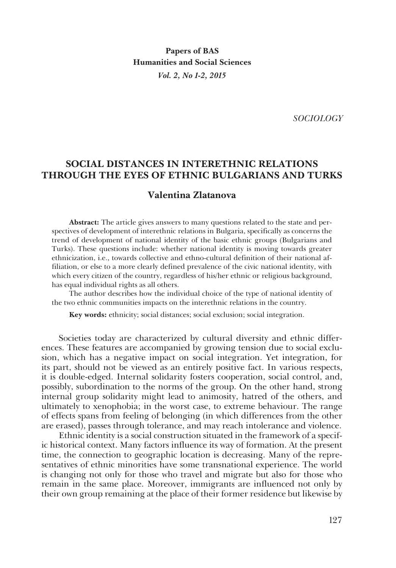**Papers of BAS Humanities and Social Sciences** *Vol. 2, No 1-2, 2015*

*SOCIOLOGY*

# **SOCIAL DISTANCES IN INTERETHNIC RELATIONS THROUGH THE EYES OF ETHNIC BULGARIANS AND TURKS**

## **Valentina Zlatanova**

**Abstract:** The article gives answers to many questions related to the state and perspectives of development of interethnic relations in Bulgaria, specifically as concerns the trend of development of national identity of the basic ethnic groups (Bulgarians and Turks). These questions include: whether national identity is moving towards greater ethnicization, i.e., towards collective and ethno-cultural definition of their national affiliation, or else to a more clearly defined prevalence of the civic national identity, with which every citizen of the country, regardless of his/her ethnic or religious background, has equal individual rights as all others.

The author describes how the individual choice of the type of national identity of the two ethnic communities impacts on the interethnic relations in the country.

**Key words:** ethnicity; social distances; social exclusion; social integration.

Societies today are characterized by cultural diversity and ethnic differences. These features are accompanied by growing tension due to social exclusion, which has a negative impact on social integration. Yet integration, for its part, should not be viewed as an entirely positive fact. In various respects, it is double-edged. Internal solidarity fosters cooperation, social control, and, possibly, subordination to the norms of the group. On the other hand, strong internal group solidarity might lead to animosity, hatred of the others, and ultimately to xenophobia; in the worst case, to extreme behaviour. The range of effects spans from feeling of belonging (in which differences from the other are erased), passes through tolerance, and may reach intolerance and violence.

Ethnic identity is a social construction situated in the framework of a specific historical context. Many factors influence its way of formation. At the present time, the connection to geographic location is decreasing. Many of the representatives of ethnic minorities have some transnational experience. The world is changing not only for those who travel and migrate but also for those who remain in the same place. Moreover, immigrants are influenced not only by their own group remaining at the place of their former residence but likewise by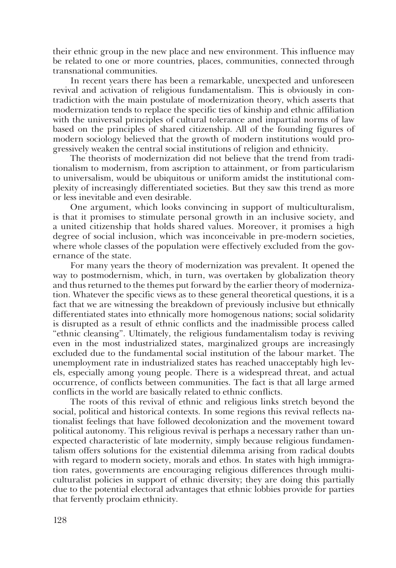their ethnic group in the new place and new environment. This influence may be related to one or more countries, places, communities, connected through transnational communities.

In recent years there has been a remarkable, unexpected and unforeseen revival and activation of religious fundamentalism. This is obviously in contradiction with the main postulate of modernization theory, which asserts that modernization tends to replace the specific ties of kinship and ethnic affiliation with the universal principles of cultural tolerance and impartial norms of law based on the principles of shared citizenship. All of the founding figures of modern sociology believed that the growth of modern institutions would progressively weaken the central social institutions of religion and ethnicity.

The theorists of modernization did not believe that the trend from traditionalism to modernism, from ascription to attainment, or from particularism to universalism, would be ubiquitous or uniform amidst the institutional complexity of increasingly differentiated societies. But they saw this trend as more or less inevitable and even desirable.

One argument, which looks convincing in support of multiculturalism, is that it promises to stimulate personal growth in an inclusive society, and a united citizenship that holds shared values. Moreover, it promises a high degree of social inclusion, which was inconceivable in pre-modern societies, where whole classes of the population were effectively excluded from the governance of the state.

For many years the theory of modernization was prevalent. It opened the way to postmodernism, which, in turn, was overtaken by globalization theory and thus returned to the themes put forward by the earlier theory of modernization. Whatever the specific views as to these general theoretical questions, it is a fact that we are witnessing the breakdown of previously inclusive but ethnically differentiated states into ethnically more homogenous nations; social solidarity is disrupted as a result of ethnic conflicts and the inadmissible process called "ethnic cleansing". Ultimately, the religious fundamentalism today is reviving even in the most industrialized states, marginalized groups are increasingly excluded due to the fundamental social institution of the labour market. The unemployment rate in industrialized states has reached unacceptably high levels, especially among young people. There is a widespread threat, and actual occurrence, of conflicts between communities. The fact is that all large armed conflicts in the world are basically related to ethnic conflicts.

The roots of this revival of ethnic and religious links stretch beyond the social, political and historical contexts. In some regions this revival reflects nationalist feelings that have followed decolonization and the movement toward political autonomy. This religious revival is perhaps a necessary rather than unexpected characteristic of late modernity, simply because religious fundamentalism offers solutions for the existential dilemma arising from radical doubts with regard to modern society, morals and ethos. In states with high immigration rates, governments are encouraging religious differences through multiculturalist policies in support of ethnic diversity; they are doing this partially due to the potential electoral advantages that ethnic lobbies provide for parties that fervently proclaim ethnicity.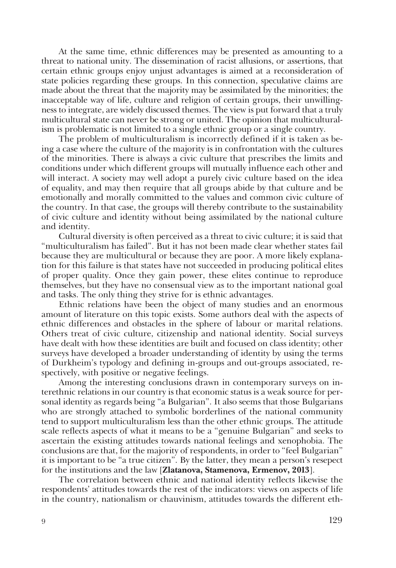At the same time, ethnic differences may be presented as amounting to a threat to national unity. The dissemination of racist allusions, or assertions, that certain ethnic groups enjoy unjust advantages is aimed at a reconsideration of state policies regarding these groups. In this connection, speculative claims are made about the threat that the majority may be assimilated by the minorities; the inacceptable way of life, culture and religion of certain groups, their unwillingness to integrate, are widely discussed themes. The view is put forward that a truly multicultural state can never be strong or united. The opinion that multiculturalism is problematic is not limited to a single ethnic group or a single country.

The problem of multiculturalism is incorrectly defined if it is taken as being a case where the culture of the majority is in confrontation with the cultures of the minorities. There is always a civic culture that prescribes the limits and conditions under which different groups will mutually influence each other and will interact. A society may well adopt a purely civic culture based on the idea of equality, and may then require that all groups abide by that culture and be emotionally and morally committed to the values and common civic culture of the country. In that case, the groups will thereby contribute to the sustainability of civic culture and identity without being assimilated by the national culture and identity.

Cultural diversity is often perceived as a threat to civic culture; it is said that "multiculturalism has failed". But it has not been made clear whether states fail because they are multicultural or because they are poor. A more likely explanation for this failure is that states have not succeeded in producing political elites of proper quality. Once they gain power, these elites continue to reproduce themselves, but they have no consensual view as to the important national goal and tasks. The only thing they strive for is ethnic advantages.

Ethnic relations have been the object of many studies and an enormous amount of literature on this topic exists. Some authors deal with the aspects of ethnic differences and obstacles in the sphere of labour or marital relations. Others treat of civic culture, citizenship and national identity. Social surveys have dealt with how these identities are built and focused on class identity; other surveys have developed a broader understanding of identity by using the terms of Durkheim's typology and defining in-groups and out-groups associated, respectively, with positive or negative feelings.

Among the interesting conclusions drawn in contemporary surveys on interethnic relations in our country is that economic status is a weak source for personal identity as regards being "a Bulgarian". It also seems that those Bulgarians who are strongly attached to symbolic borderlines of the national community tend to support multiculturalism less than the other ethnic groups. The attitude scale reflects aspects of what it means to be a "genuine Bulgarian" and seeks to ascertain the existing attitudes towards national feelings and xenophobia. The conclusions are that, for the majority of respondents, in order to "feel Bulgarian" it is important to be "a true citizen". By the latter, they mean a person's resepect for the institutions and the law [**Zlatanova, Stamenova, Ermenov, 2013**].

The correlation between ethnic and national identity reflects likewise the respondents' attitudes towards the rest of the indicators: views on aspects of life in the country, nationalism or chauvinism, attitudes towards the different eth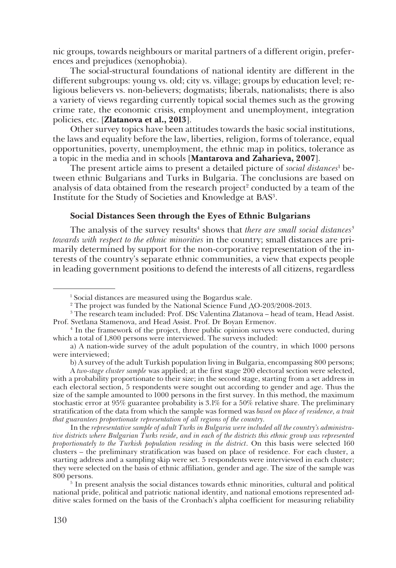nic groups, towards neighbours or marital partners of a different origin, preferences and prejudices (xenophobia).

The social-structural foundations of national identity are different in the different subgroups: young vs. old; city vs. village; groups by education level; religious believers vs. non-believers; dogmatists; liberals, nationalists; there is also a variety of views regarding currently topical social themes such as the growing crime rate, the economic crisis, employment and unemployment, integration policies, etc. [**Zlatanova et al., 2013**].

Other survey topics have been attitudes towards the basic social institutions, the laws and equality before the law, liberties, religion, forms of tolerance, equal opportunities, poverty, unemployment, the ethnic map in politics, tolerance as a topic in the media and in schools [**Mantarova and Zaharieva, 2007**].

The present article aims to present a detailed picture of *social distances*<sup>1</sup> between ethnic Bulgarians and Turks in Bulgaria. The conclusions are based on analysis of data obtained from the research project<sup>2</sup> conducted by a team of the Institute for the Study of Societies and Knowledge at BAS3 .

### **Social Distances Seen through the Eyes of Ethnic Bulgarians**

The analysis of the survey results<sup>4</sup> shows that *there are small social distances*<sup>5</sup> *towards with respect to the ethnic minorities* in the country; small distances are primarily determined by support for the non-corporative representation of the interests of the country's separate ethnic communities, a view that expects people in leading government positions to defend the interests of all citizens, regardless

b) A survey of the adult Turkish population living in Bulgaria, encompassing 800 persons;

A *two-stage cluster sample* was applied; at the first stage 200 electoral section were selected, with a probability proportionate to their size; in the second stage, starting from a set address in each electoral section, 5 respondents were sought out according to gender and age. Thus the size of the sample amounted to 1000 persons in the first survey. In this method, the maximum stochastic error at 95% guarantee probability is 3.1% for a 50% relative share. The preliminary stratification of the data from which the sample was formed was *based on place of residence, a trait that guarantees proportionate representation of all regions of the country.* 

In the *representative sample of adult Turks in Bulgaria were included all the country's administrative districts where Bulgarian Turks reside, and in each of the districts this ethnic group was represented proportionately to the Turkish population residing in the district*. On this basis were selected 160 clusters – the preliminary stratification was based on place of residence. For each cluster, a starting address and a sampling skip were set. 5 respondents were interviewed in each cluster; they were selected on the basis of ethnic affiliation, gender and age. The size of the sample was 800 persons.

<sup>5</sup> In present analysis the social distances towards ethnic minorities, cultural and political national pride, political and patriotic national identity, and national emotions represented additive scales formed on the basis of the Cronbach's alpha coefficient for measuring reliability

<sup>1</sup> Social distances are measured using the Bogardus scale.

<sup>2</sup> The project was funded by the National Science Fund ДО-203/2008-2013.

<sup>3</sup> The research team included: Prof. DSc Valentina Zlatanova – head of team, Head Assist. Prof. Svetlana Stamenova, and Head Assist. Prof. Dr Boyan Ermenov.

<sup>4</sup> In the framework of the project, three public opinion surveys were conducted, during which a total of 1,800 persons were interviewed. The surveys included:

a) A nation-wide survey of the adult population of the country, in which 1000 persons were interviewed;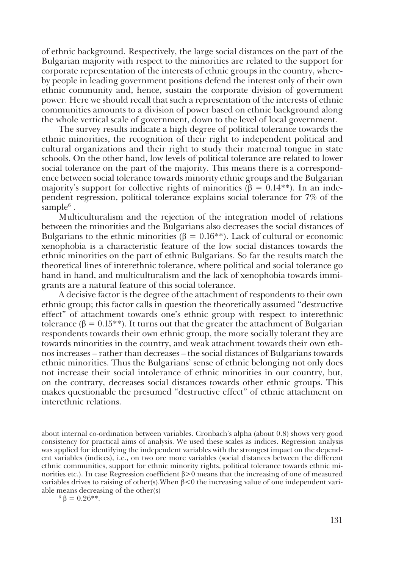of ethnic background. Respectively, the large social distances on the part of the Bulgarian majority with respect to the minorities are related to the support for corporate representation of the interests of ethnic groups in the country, whereby people in leading government positions defend the interest only of their own ethnic community and, hence, sustain the corporate division of government power. Here we should recall that such a representation of the interests of ethnic communities amounts to a division of power based on ethnic background along the whole vertical scale of government, down to the level of local government.

The survey results indicate a high degree of political tolerance towards the ethnic minorities, the recognition of their right to independent political and cultural organizations and their right to study their maternal tongue in state schools. On the other hand, low levels of political tolerance are related to lower social tolerance on the part of the majority. This means there is a correspondence between social tolerance towards minority ethnic groups and the Bulgarian majority's support for collective rights of minorities ( $\beta = 0.14$ <sup>\*\*</sup>). In an independent regression, political tolerance explains social tolerance for 7% of the sample $6$ .

Multiculturalism and the rejection of the integration model of relations between the minorities and the Bulgarians also decreases the social distances of Bulgarians to the ethnic minorities  $(\beta = 0.16^{**})$ . Lack of cultural or economic xenophobia is a characteristic feature of the low social distances towards the ethnic minorities on the part of ethnic Bulgarians. So far the results match the theoretical lines of interethnic tolerance, where political and social tolerance go hand in hand, and multiculturalism and the lack of xenophobia towards immigrants are a natural feature of this social tolerance.

A decisive factor is the degree of the attachment of respondents to their own ethnic group; this factor calls in question the theoretically assumed "destructive effect" of attachment towards one's ethnic group with respect to interethnic tolerance (β =  $0.15$ <sup>\*\*</sup>). It turns out that the greater the attachment of Bulgarian respondents towards their own ethnic group, the more socially tolerant they are towards minorities in the country, and weak attachment towards their own ethnos increases – rather than decreases – the social distances of Bulgarians towards ethnic minorities. Thus the Bulgarians' sense of ethnic belonging not only does not increase their social intolerance of ethnic minorities in our country, but, on the contrary, decreases social distances towards other ethnic groups. This makes questionable the presumed "destructive effect" of ethnic attachment on interethnic relations.

about internal co-ordination between variables. Cronbach's alpha (about 0.8) shows very good consistency for practical aims of analysis. We used these scales as indices. Regression analysis was applied for identifying the independent variables with the strongest impact on the dependent variables (indices), i.e., on two ore more variables (social distances between the different ethnic communities, support for ethnic minority rights, political tolerance towards ethnic minorities etc.). In case Regression coefficient  $β > 0$  means that the increasing of one of measured variables drives to raising of other(s).When β<0 the increasing value of one independent variable means decreasing of the other(s)

 $6 \beta = 0.26$ \*\*.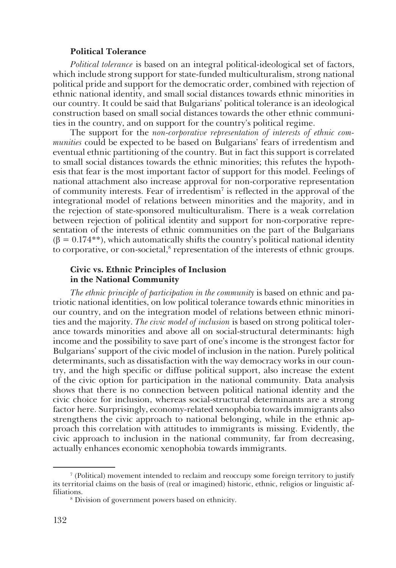#### **Political Tolerance**

*Political tolerance* is based on an integral political-ideological set of factors, which include strong support for state-funded multiculturalism, strong national political pride and support for the democratic order, combined with rejection of ethnic national identity, and small social distances towards ethnic minorities in our country. It could be said that Bulgarians' political tolerance is an ideological construction based on small social distances towards the other ethnic communities in the country, and on support for the country's political regime.

The support for the *non-corporative representation of interests of ethnic communities* could be expected to be based on Bulgarians' fears of irredentism and eventual ethnic partitioning of the country. But in fact this support is correlated to small social distances towards the ethnic minorities; this refutes the hypothesis that fear is the most important factor of support for this model. Feelings of national attachment also increase approval for non-corporative representation of community interests. Fear of irredentism<sup>7</sup> is reflected in the approval of the integrational model of relations between minorities and the majority, and in the rejection of state-sponsored multiculturalism. There is a weak correlation between rejection of political identity and support for non-corporative representation of the interests of ethnic communities on the part of the Bulgarians  $(\beta = 0.174**)$ , which automatically shifts the country's political national identity to corporative, or con-societal,<sup>8</sup> representation of the interests of ethnic groups.

### **Civic vs. Ethnic Principles of Inclusion in the National Community**

*The ethnic principle of participation in the community* is based on ethnic and patriotic national identities, on low political tolerance towards ethnic minorities in our country, and on the integration model of relations between ethnic minorities and the majority. *The civic model of inclusion* is based on strong political tolerance towards minorities and above all on social-structural determinants: high income and the possibility to save part of one's income is the strongest factor for Bulgarians' support of the civic model of inclusion in the nation. Purely political determinants, such as dissatisfaction with the way democracy works in our country, and the high specific or diffuse political support, also increase the extent of the civic option for participation in the national community. Data analysis shows that there is no connection between political national identity and the civic choice for inclusion, whereas social-structural determinants are a strong factor here. Surprisingly, economy-related xenophobia towards immigrants also strengthens the civic approach to national belonging, while in the ethnic approach this correlation with attitudes to immigrants is missing. Evidently, the civic approach to inclusion in the national community, far from decreasing, actually enhances economic xenophobia towards immigrants.

<sup>7</sup> (Political) movement intended to reclaim and reoccupy some foreign territory to justify its territorial claims on the basis of (real or imagined) historic, ethnic, religios or linguistic affiliations.

<sup>8</sup> Division of government powers based on ethnicity.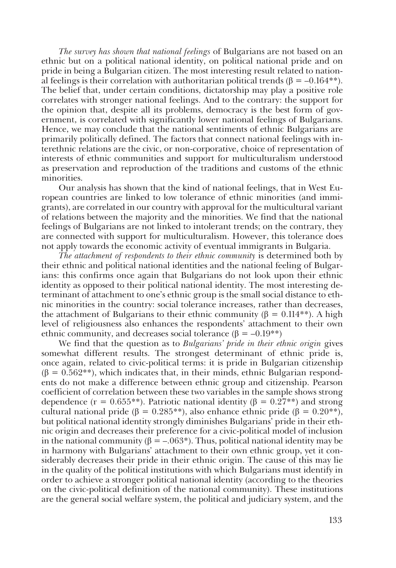*The survey has shown that national feelings* of Bulgarians are not based on an ethnic but on a political national identity, on political national pride and on pride in being a Bulgarian citizen. The most interesting result related to national feelings is their correlation with authoritarian political trends ( $\beta = -0.164$ <sup>\*\*</sup>). The belief that, under certain conditions, dictatorship may play a positive role correlates with stronger national feelings. And to the contrary: the support for the opinion that, despite all its problems, democracy is the best form of government, is correlated with significantly lower national feelings of Bulgarians. Hence, we may conclude that the national sentiments of ethnic Bulgarians are primarily politically defined. The factors that connect national feelings with interethnic relations are the civic, or non-corporative, choice of representation of interests of ethnic communities and support for multiculturalism understood as preservation and reproduction of the traditions and customs of the ethnic minorities.

Our analysis has shown that the kind of national feelings, that in West European countries are linked to low tolerance of ethnic minorities (and immigrants), are correlated in our country with approval for the multicultural variant of relations between the majority and the minorities. We find that the national feelings of Bulgarians are not linked to intolerant trends; on the contrary, they are connected with support for multiculturalism. However, this tolerance does not apply towards the economic activity of eventual immigrants in Bulgaria.

*The attachment of respondents to their ethnic community* is determined both by their ethnic and political national identities and the national feeling of Bulgarians: this confirms once again that Bulgarians do not look upon their ethnic identity as opposed to their political national identity. The most interesting determinant of attachment to one's ethnic group is the small social distance to ethnic minorities in the country: social tolerance increases, rather than decreases, the attachment of Bulgarians to their ethnic community ( $\beta = 0.114$ \*\*). A high level of religiousness also enhances the respondents' attachment to their own ethnic community, and decreases social tolerance  $(\beta = -0.19**)$ 

We find that the question as to *Bulgarians' pride in their ethnic origin* gives somewhat different results. The strongest determinant of ethnic pride is, once again, related to civic-political terms: it is pride in Bulgarian citizenship  $(\beta = 0.562^{**})$ , which indicates that, in their minds, ethnic Bulgarian respondents do not make a difference between ethnic group and citizenship. Pearson coefficient of correlation between these two variables in the sample shows strong dependence ( $r = 0.655$ \*\*). Patriotic national identity ( $\beta = 0.27$ \*\*) and strong cultural national pride ( $\beta = 0.285$ <sup>\*\*</sup>), also enhance ethnic pride ( $\beta = 0.20$ <sup>\*\*)</sup>, but political national identity strongly diminishes Bulgarians' pride in their ethnic origin and decreases their preference for a civic-political model of inclusion in the national community ( $\beta = -.063^*$ ). Thus, political national identity may be in harmony with Bulgarians' attachment to their own ethnic group, yet it considerably decreases their pride in their ethnic origin. The cause of this may lie in the quality of the political institutions with which Bulgarians must identify in order to achieve a stronger political national identity (according to the theories on the civic-political definition of the national community). These institutions are the general social welfare system, the political and judiciary system, and the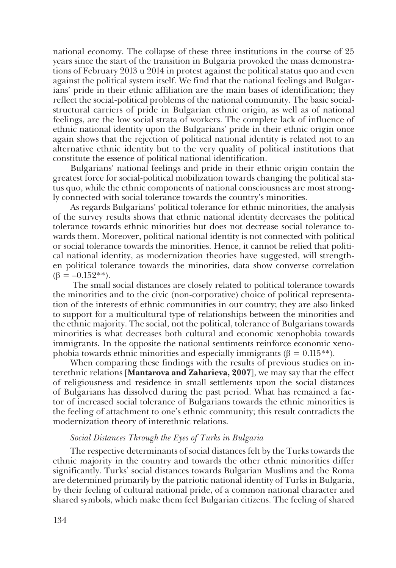national economy. The collapse of these three institutions in the course of 25 years since the start of the transition in Bulgaria provoked the mass demonstrations of February 2013 и 2014 in protest against the political status quo and even against the political system itself. We find that the national feelings and Bulgarians' pride in their ethnic affiliation are the main bases of identification; they reflect the social-political problems of the national community. The basic socialstructural carriers of pride in Bulgarian ethnic origin, as well as of national feelings, are the low social strata of workers. The complete lack of influence of ethnic national identity upon the Bulgarians' pride in their ethnic origin once again shows that the rejection of political national identity is related not to an alternative ethnic identity but to the very quality of political institutions that constitute the essence of political national identification.

Bulgarians' national feelings and pride in their ethnic origin contain the greatest force for social-political mobilization towards changing the political status quo, while the ethnic components of national consciousness are most strongly connected with social tolerance towards the country's minorities.

As regards Bulgarians' political tolerance for ethnic minorities, the analysis of the survey results shows that ethnic national identity decreases the political tolerance towards ethnic minorities but does not decrease social tolerance towards them. Moreover, political national identity is not connected with political or social tolerance towards the minorities. Hence, it cannot be relied that political national identity, as modernization theories have suggested, will strengthen political tolerance towards the minorities, data show converse correlation  $(\beta = -0.152**).$ 

 The small social distances are closely related to political tolerance towards the minorities and to the civic (non-corporative) choice of political representation of the interests of ethnic communities in our country; they are also linked to support for a multicultural type of relationships between the minorities and the ethnic majority. The social, not the political, tolerance of Bulgarians towards minorities is what decreases both cultural and economic xenophobia towards immigrants. In the opposite the national sentiments reinforce economic xenophobia towards ethnic minorities and especially immigrants ( $\beta = 0.115**$ ).

When comparing these findings with the results of previous studies on interethnic relations [**Mantarova and Zaharieva, 2007**], we may say that the effect of religiousness and residence in small settlements upon the social distances of Bulgarians has dissolved during the past period. What has remained a factor of increased social tolerance of Bulgarians towards the ethnic minorities is the feeling of attachment to one's ethnic community; this result contradicts the modernization theory of interethnic relations.

#### *Social Distances Through the Eyes of Turks in Bulgaria*

The respective determinants of social distances felt by the Turks towards the ethnic majority in the country and towards the other ethnic minorities differ significantly. Turks' social distances towards Bulgarian Muslims and the Roma are determined primarily by the patriotic national identity of Turks in Bulgaria, by their feeling of cultural national pride, of a common national character and shared symbols, which make them feel Bulgarian citizens. The feeling of shared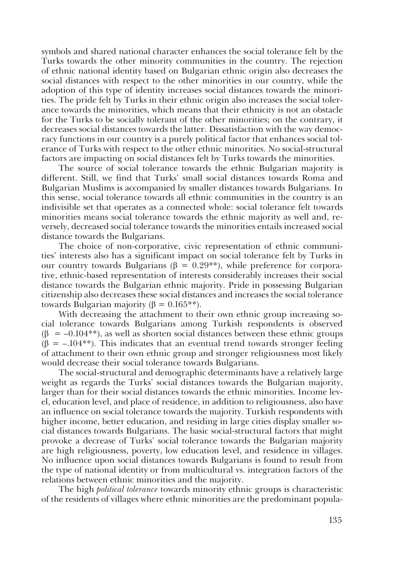symbols and shared national character enhances the social tolerance felt by the Turks towards the other minority communities in the country. The rejection of ethnic national identity based on Bulgarian ethnic origin also decreases the social distances with respect to the other minorities in our country, while the adoption of this type of identity increases social distances towards the minorities. The pride felt by Turks in their ethnic origin also increases the social tolerance towards the minorities, which means that their ethnicity is not an obstacle for the Turks to be socially tolerant of the other minorities; on the contrary, it decreases social distances towards the latter. Dissatisfaction with the way democracy functions in our country is a purely political factor that enhances social tolerance of Turks with respect to the other ethnic minorities. No social-structural factors are impacting on social distances felt by Turks towards the minorities.

The source of social tolerance towards the ethnic Bulgarian majority is different. Still, we find that Turks' small social distances towards Roma and Bulgarian Muslims is accompanied by smaller distances towards Bulgarians. In this sense, social tolerance towards all ethnic communities in the country is an indivisible set that operates as a connected whole: social tolerance felt towards minorities means social tolerance towards the ethnic majority as well and, reversely, decreased social tolerance towards the minorities entails increased social distance towards the Bulgarians.

The choice of non-corporative, civic representation of ethnic communities' interests also has a significant impact on social tolerance felt by Turks in our country towards Bulgarians (β =  $0.29$ <sup>\*\*</sup>), while preference for corporative, ethnic-based representation of interests considerably increases their social distance towards the Bulgarian ethnic majority. Pride in possessing Bulgarian citizenship also decreases these social distances and increases the social tolerance towards Bulgarian majority (β =  $0.165$ <sup>\*\*</sup>).

With decreasing the attachment to their own ethnic group increasing social tolerance towards Bulgarians among Turkish respondents is observed  $(\beta = -0.104^{**})$ , as well as shorten social distances between these ethnic groups  $(\beta = -104**)$ . This indicates that an eventual trend towards stronger feeling of attachment to their own ethnic group and stronger religiousness most likely would decrease their social tolerance towards Bulgarians.

The social-structural and demographic determinants have a relatively large weight as regards the Turks' social distances towards the Bulgarian majority, larger than for their social distances towards the ethnic minorities. Income level, education level, and place of residence, in addition to religiousness, also have an influence on social tolerance towards the majority. Turkish respondents with higher income, better education, and residing in large cities display smaller social distances towards Bulgarians. The basic social-structural factors that might provoke a decrease of Turks' social tolerance towards the Bulgarian majority are high religiousness, poverty, low education level, and residence in villages. No influence upon social distances towards Bulgarians is found to result from the type of national identity or from multicultural vs. integration factors of the relations between ethnic minorities and the majority.

The high *political tolerance* towards minority ethnic groups is characteristic of the residents of villages where ethnic minorities are the predominant popula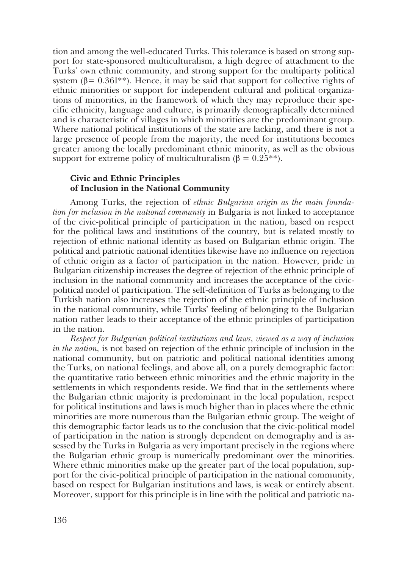tion and among the well-educated Turks. This tolerance is based on strong support for state-sponsored multiculturalism, a high degree of attachment to the Turks' own ethnic community, and strong support for the multiparty political system ( $\beta$ = 0.361<sup>\*\*</sup>). Hence, it may be said that support for collective rights of ethnic minorities or support for independent cultural and political organizations of minorities, in the framework of which they may reproduce their specific ethnicity, language and culture, is primarily demographically determined and is characteristic of villages in which minorities are the predominant group. Where national political institutions of the state are lacking, and there is not a large presence of people from the majority, the need for institutions becomes greater among the locally predominant ethnic minority, as well as the obvious support for extreme policy of multiculturalism ( $\beta = 0.25$ <sup>\*\*</sup>).

### **Civic and Ethnic Principles of Inclusion in the National Community**

Among Turks, the rejection of *ethnic Bulgarian origin as the main foundation for inclusion in the national community* in Bulgaria is not linked to acceptance of the civic-political principle of participation in the nation, based on respect for the political laws and institutions of the country, but is related mostly to rejection of ethnic national identity as based on Bulgarian ethnic origin. The political and patriotic national identities likewise have no influence on rejection of ethnic origin as a factor of participation in the nation. However, pride in Bulgarian citizenship increases the degree of rejection of the ethnic principle of inclusion in the national community and increases the acceptance of the civicpolitical model of participation. The self-definition of Turks as belonging to the Turkish nation also increases the rejection of the ethnic principle of inclusion in the national community, while Turks' feeling of belonging to the Bulgarian nation rather leads to their acceptance of the ethnic principles of participation in the nation.

*Respect for Bulgarian political institutions and laws, viewed as a way of inclusion in the nation,* is not based on rejection of the ethnic principle of inclusion in the national community, but on patriotic and political national identities among the Turks, on national feelings, and above all, on a purely demographic factor: the quantitative ratio between ethnic minorities and the ethnic majority in the settlements in which respondents reside. We find that in the settlements where the Bulgarian ethnic majority is predominant in the local population, respect for political institutions and laws is much higher than in places where the ethnic minorities are more numerous than the Bulgarian ethnic group. The weight of this demographic factor leads us to the conclusion that the civic-political model of participation in the nation is strongly dependent on demography and is assessed by the Turks in Bulgaria as very important precisely in the regions where the Bulgarian ethnic group is numerically predominant over the minorities. Where ethnic minorities make up the greater part of the local population, support for the civic-political principle of participation in the national community, based on respect for Bulgarian institutions and laws, is weak or entirely absent. Moreover, support for this principle is in line with the political and patriotic na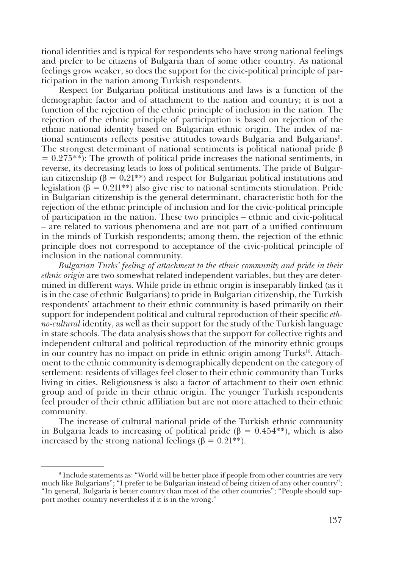tional identities and is typical for respondents who have strong national feelings and prefer to be citizens of Bulgaria than of some other country. As national feelings grow weaker, so does the support for the civic-political principle of participation in the nation among Turkish respondents.

Respect for Bulgarian political institutions and laws is a function of the demographic factor and of attachment to the nation and country; it is not a function of the rejection of the ethnic principle of inclusion in the nation. The rejection of the ethnic principle of participation is based on rejection of the ethnic national identity based on Bulgarian ethnic origin. The index of national sentiments reflects positive attitudes towards Bulgaria and Bulgarians<sup>9</sup>. The strongest determinant of national sentiments is political national pride β  $= 0.275**$ : The growth of political pride increases the national sentiments, in reverse, its decreasing leads to loss of political sentiments. The pride of Bulgarian citizenship **(**β = 0**.**21\*\*) and respect for Bulgarian political institutions and legislation (β = 0.211<sup>\*\*</sup>) also give rise to national sentiments stimulation. Pride in Bulgarian citizenship is the general determinant, characteristic both for the rejection of the ethnic principle of inclusion and for the civic-political principle of participation in the nation. These two principles – ethnic and civic-political – are related to various phenomena and are not part of a unified continuum in the minds of Turkish respondents; among them, the rejection of the ethnic principle does not correspond to acceptance of the civic-political principle of inclusion in the national community.

*Bulgarian Turks' feeling of attachment to the ethnic community and pride in their ethnic origin* are two somewhat related independent variables, but they are determined in different ways. While pride in ethnic origin is inseparably linked (as it is in the case of ethnic Bulgarians) to pride in Bulgarian citizenship, the Turkish respondents' attachment to their ethnic community is based primarily on their support for independent political and cultural reproduction of their specific *ethno-cultural* identity, as well as their support for the study of the Turkish language in state schools. The data analysis shows that the support for collective rights and independent cultural and political reproduction of the minority ethnic groups in our country has no impact on pride in ethnic origin among Turks<sup>10</sup>. Attachment to the ethnic community is demographically dependent on the category of settlement: residents of villages feel closer to their ethnic community than Turks living in cities. Religiousness is also a factor of attachment to their own ethnic group and of pride in their ethnic origin. The younger Turkish respondents feel prouder of their ethnic affiliation but are not more attached to their ethnic community.

The increase of cultural national pride of the Turkish ethnic community in Bulgaria leads to increasing of political pride ( $\beta = 0.454**$ ), which is also increased by the strong national feelings ( $\beta = 0.21$ <sup>\*\*</sup>).

<sup>9</sup> Include statements as: "World will be better place if people from other countries are very much like Bulgarians"; "I prefer to be Bulgarian instead of being citizen of any other country"; "In general, Bulgaria is better country than most of the other countries"; "People should support mother country nevertheless if it is in the wrong."